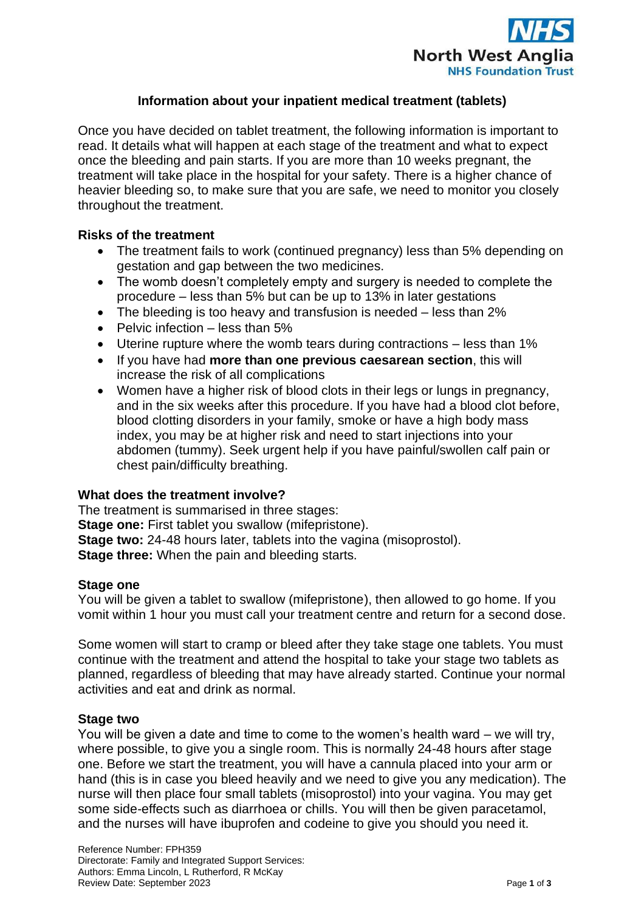

# **Information about your inpatient medical treatment (tablets)**

Once you have decided on tablet treatment, the following information is important to read. It details what will happen at each stage of the treatment and what to expect once the bleeding and pain starts. If you are more than 10 weeks pregnant, the treatment will take place in the hospital for your safety. There is a higher chance of heavier bleeding so, to make sure that you are safe, we need to monitor you closely throughout the treatment.

### **Risks of the treatment**

- The treatment fails to work (continued pregnancy) less than 5% depending on gestation and gap between the two medicines.
- The womb doesn't completely empty and surgery is needed to complete the procedure – less than 5% but can be up to 13% in later gestations
- The bleeding is too heavy and transfusion is needed less than 2%
- Pelvic infection less than 5%
- Uterine rupture where the womb tears during contractions less than 1%
- If you have had **more than one previous caesarean section**, this will increase the risk of all complications
- Women have a higher risk of blood clots in their legs or lungs in pregnancy, and in the six weeks after this procedure. If you have had a blood clot before, blood clotting disorders in your family, smoke or have a high body mass index, you may be at higher risk and need to start injections into your abdomen (tummy). Seek urgent help if you have painful/swollen calf pain or chest pain/difficulty breathing.

### **What does the treatment involve?**

The treatment is summarised in three stages: **Stage one:** First tablet you swallow (mifepristone). **Stage two:** 24-48 hours later, tablets into the vagina (misoprostol). **Stage three:** When the pain and bleeding starts.

### **Stage one**

You will be given a tablet to swallow (mifepristone), then allowed to go home. If you vomit within 1 hour you must call your treatment centre and return for a second dose.

Some women will start to cramp or bleed after they take stage one tablets. You must continue with the treatment and attend the hospital to take your stage two tablets as planned, regardless of bleeding that may have already started. Continue your normal activities and eat and drink as normal.

### **Stage two**

You will be given a date and time to come to the women's health ward – we will try, where possible, to give you a single room. This is normally 24-48 hours after stage one. Before we start the treatment, you will have a cannula placed into your arm or hand (this is in case you bleed heavily and we need to give you any medication). The nurse will then place four small tablets (misoprostol) into your vagina. You may get some side-effects such as diarrhoea or chills. You will then be given paracetamol, and the nurses will have ibuprofen and codeine to give you should you need it.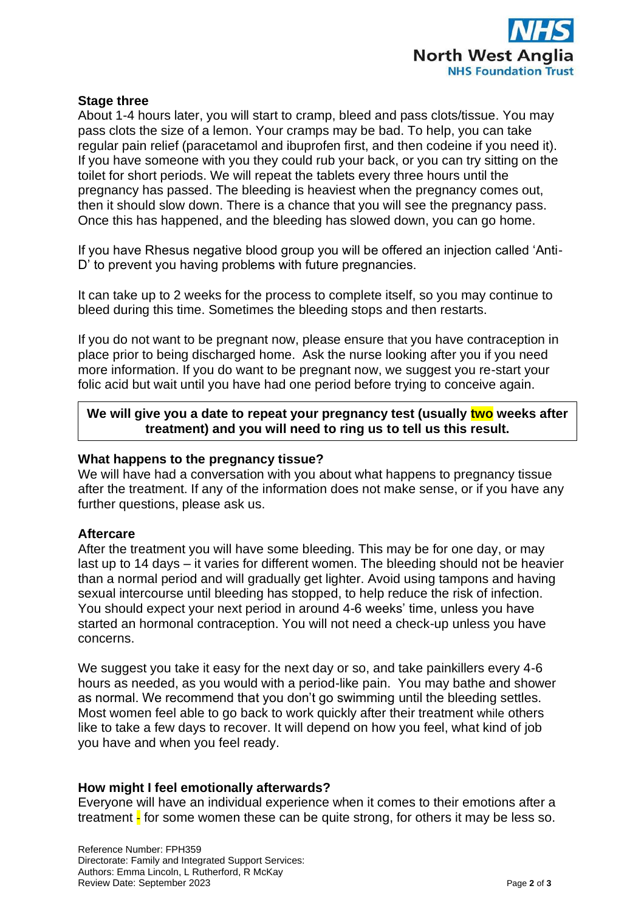

### **Stage three**

About 1-4 hours later, you will start to cramp, bleed and pass clots/tissue. You may pass clots the size of a lemon. Your cramps may be bad. To help, you can take regular pain relief (paracetamol and ibuprofen first, and then codeine if you need it). If you have someone with you they could rub your back, or you can try sitting on the toilet for short periods. We will repeat the tablets every three hours until the pregnancy has passed. The bleeding is heaviest when the pregnancy comes out, then it should slow down. There is a chance that you will see the pregnancy pass. Once this has happened, and the bleeding has slowed down, you can go home.

If you have Rhesus negative blood group you will be offered an injection called 'Anti-D' to prevent you having problems with future pregnancies.

It can take up to 2 weeks for the process to complete itself, so you may continue to bleed during this time. Sometimes the bleeding stops and then restarts.

If you do not want to be pregnant now, please ensure that you have contraception in place prior to being discharged home. Ask the nurse looking after you if you need more information. If you do want to be pregnant now, we suggest you re-start your folic acid but wait until you have had one period before trying to conceive again.

## **We will give you a date to repeat your pregnancy test (usually two weeks after treatment) and you will need to ring us to tell us this result.**

### **What happens to the pregnancy tissue?**

We will have had a conversation with you about what happens to pregnancy tissue after the treatment. If any of the information does not make sense, or if you have any further questions, please ask us.

### **Aftercare**

After the treatment you will have some bleeding. This may be for one day, or may last up to 14 days – it varies for different women. The bleeding should not be heavier than a normal period and will gradually get lighter. Avoid using tampons and having sexual intercourse until bleeding has stopped, to help reduce the risk of infection. You should expect your next period in around 4-6 weeks' time, unless you have started an hormonal contraception. You will not need a check-up unless you have concerns.

We suggest you take it easy for the next day or so, and take painkillers every 4-6 hours as needed, as you would with a period-like pain. You may bathe and shower as normal. We recommend that you don't go swimming until the bleeding settles. Most women feel able to go back to work quickly after their treatment while others like to take a few days to recover. It will depend on how you feel, what kind of job you have and when you feel ready.

### **How might I feel emotionally afterwards?**

Everyone will have an individual experience when it comes to their emotions after a treatment  $\frac{1}{2}$  for some women these can be quite strong, for others it may be less so.